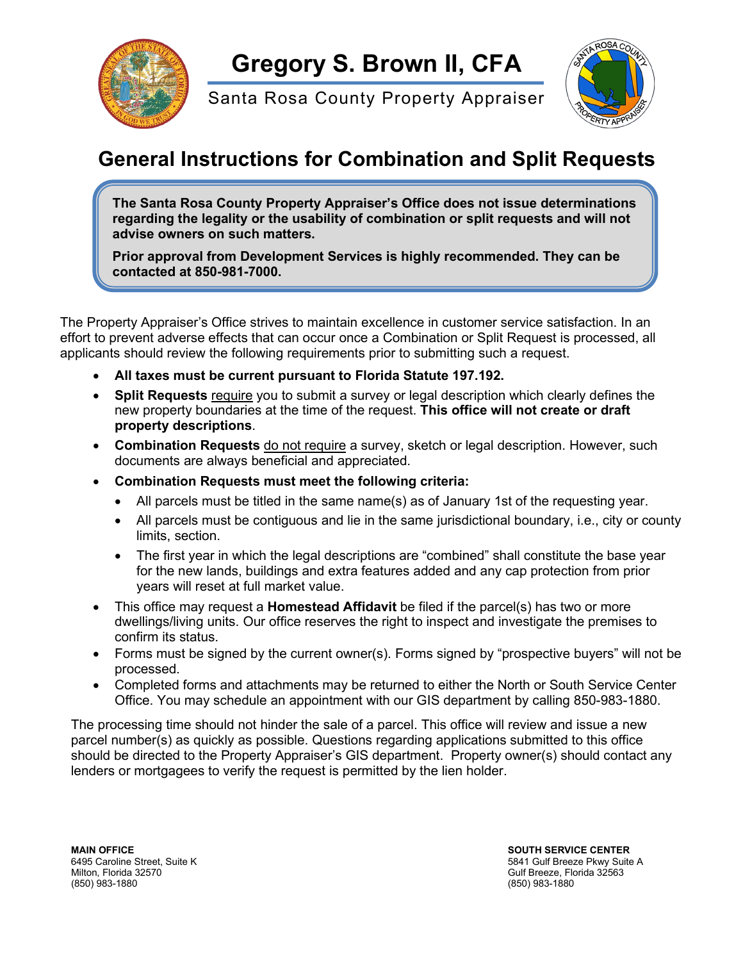

Santa Rosa County Property Appraiser



## **General Instructions for Combination and Split Requests**

**The Santa Rosa County Property Appraiser's Office does not issue determinations regarding the legality or the usability of combination or split requests and will not advise owners on such matters.**

**Prior approval from Development Services is highly recommended. They can be contacted at 850-981-7000.**

The Property Appraiser's Office strives to maintain excellence in customer service satisfaction. In an effort to prevent adverse effects that can occur once a Combination or Split Request is processed, all applicants should review the following requirements prior to submitting such a request.

- **All taxes must be current pursuant to Florida Statute 197.192.**
- **Split Requests** require you to submit a survey or legal description which clearly defines the new property boundaries at the time of the request. **This office will not create or draft property descriptions**.
- **Combination Requests** do not require a survey, sketch or legal description. However, such documents are always beneficial and appreciated.
- **Combination Requests must meet the following criteria:**
	- All parcels must be titled in the same name(s) as of January 1st of the requesting year.
	- All parcels must be contiguous and lie in the same jurisdictional boundary, i.e., city or county limits, section.
	- The first year in which the legal descriptions are "combined" shall constitute the base year for the new lands, buildings and extra features added and any cap protection from prior years will reset at full market value.
- This office may request a **Homestead Affidavit** be filed if the parcel(s) has two or more dwellings/living units. Our office reserves the right to inspect and investigate the premises to confirm its status.
- Forms must be signed by the current owner(s). Forms signed by "prospective buyers" will not be processed.
- Completed forms and attachments may be returned to either the North or South Service Center Office. You may schedule an appointment with our GIS department by calling 850-983-1880.

The processing time should not hinder the sale of a parcel. This office will review and issue a new parcel number(s) as quickly as possible. Questions regarding applications submitted to this office should be directed to the Property Appraiser's GIS department. Property owner(s) should contact any lenders or mortgagees to verify the request is permitted by the lien holder.

**MAIN OFFICE SOUTH SERVICE CENTER** Milton, Florida 32570 Gulf Breeze, Florida 32563

6495 Caroline Street, Suite K 5841 Gulf Breeze Pkwy Suite A 5841 Gulf Breeze Pkwy Suite A 5841 Gulf Breeze, Florida<br>Milton, Florida 32570 (850) 983-1880 (850) 983-1880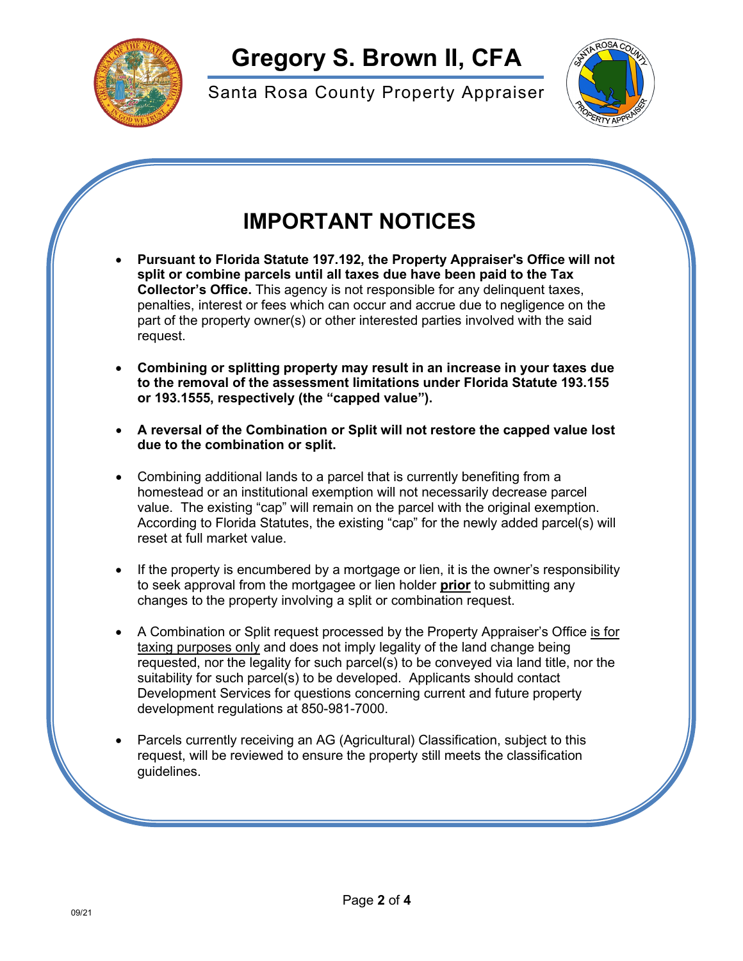

Santa Rosa County Property Appraiser



## **IMPORTANT NOTICES**

- **Pursuant to Florida Statute 197.192, the Property Appraiser's Office will not split or combine parcels until all taxes due have been paid to the Tax Collector's Office.** This agency is not responsible for any delinquent taxes, penalties, interest or fees which can occur and accrue due to negligence on the part of the property owner(s) or other interested parties involved with the said request.
- **Combining or splitting property may result in an increase in your taxes due to the removal of the assessment limitations under Florida Statute 193.155 or 193.1555, respectively (the "capped value").**
- **A reversal of the Combination or Split will not restore the capped value lost due to the combination or split.**
- Combining additional lands to a parcel that is currently benefiting from a homestead or an institutional exemption will not necessarily decrease parcel value. The existing "cap" will remain on the parcel with the original exemption. According to Florida Statutes, the existing "cap" for the newly added parcel(s) will reset at full market value.
- If the property is encumbered by a mortgage or lien, it is the owner's responsibility to seek approval from the mortgagee or lien holder **prior** to submitting any changes to the property involving a split or combination request.
- A Combination or Split request processed by the Property Appraiser's Office is for taxing purposes only and does not imply legality of the land change being requested, nor the legality for such parcel(s) to be conveyed via land title, nor the suitability for such parcel(s) to be developed. Applicants should contact Development Services for questions concerning current and future property development regulations at 850-981-7000.
- Parcels currently receiving an AG (Agricultural) Classification, subject to this request, will be reviewed to ensure the property still meets the classification guidelines.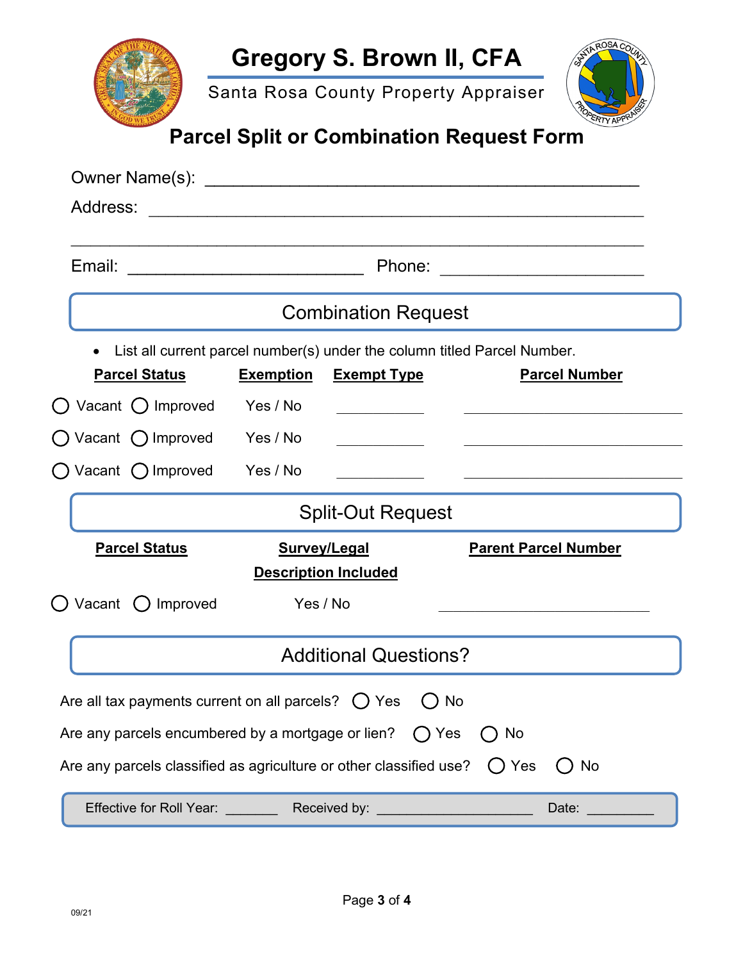|     | Sa |
|-----|----|
|     |    |
| Dai | w. |

anta Rosa County Property Appraiser



## **Parcel Split or Combination Request Form**

| Address:                                                                                                                                                                                                                       |                     | <u>. Andreas Andreas Andreas Andreas Andreas Andreas Andreas Andreas Andreas Andreas Andreas Andreas Andreas Andr</u> |                                                                            |  |  |  |
|--------------------------------------------------------------------------------------------------------------------------------------------------------------------------------------------------------------------------------|---------------------|-----------------------------------------------------------------------------------------------------------------------|----------------------------------------------------------------------------|--|--|--|
| Email:<br>Phone:<br><u> 1980 - Andrea Andrew Amerikaanse kommunister (</u>                                                                                                                                                     |                     |                                                                                                                       |                                                                            |  |  |  |
|                                                                                                                                                                                                                                |                     | <b>Combination Request</b>                                                                                            |                                                                            |  |  |  |
| $\bullet$                                                                                                                                                                                                                      |                     |                                                                                                                       | List all current parcel number(s) under the column titled Parcel Number.   |  |  |  |
| <b>Parcel Status</b>                                                                                                                                                                                                           | <b>Exemption</b>    | <b>Exempt Type</b>                                                                                                    | <b>Parcel Number</b>                                                       |  |  |  |
| Vacant O Improved                                                                                                                                                                                                              | Yes / No            |                                                                                                                       |                                                                            |  |  |  |
| Vacant $\bigcap$ Improved Yes / No                                                                                                                                                                                             |                     |                                                                                                                       |                                                                            |  |  |  |
| $\bigcirc$ Vacant $\bigcirc$ Improved Yes / No                                                                                                                                                                                 |                     |                                                                                                                       |                                                                            |  |  |  |
|                                                                                                                                                                                                                                |                     | <b>Split-Out Request</b>                                                                                              |                                                                            |  |  |  |
| <b>Parcel Status</b>                                                                                                                                                                                                           | <b>Survey/Legal</b> |                                                                                                                       | <b>Parent Parcel Number</b>                                                |  |  |  |
|                                                                                                                                                                                                                                |                     | <b>Description Included</b>                                                                                           |                                                                            |  |  |  |
| Vacant<br>$\bigcirc$ Improved                                                                                                                                                                                                  | Yes / No            |                                                                                                                       | the control of the control of the control of the control of the control of |  |  |  |
|                                                                                                                                                                                                                                |                     | <b>Additional Questions?</b>                                                                                          |                                                                            |  |  |  |
| Are all tax payments current on all parcels? $\bigcirc$ Yes                                                                                                                                                                    |                     |                                                                                                                       | No                                                                         |  |  |  |
| Are any parcels encumbered by a mortgage or lien?                                                                                                                                                                              |                     |                                                                                                                       | $\bigcap$ Yes<br>No                                                        |  |  |  |
| Are any parcels classified as agriculture or other classified use? $\bigcirc$ Yes                                                                                                                                              |                     |                                                                                                                       | ()No                                                                       |  |  |  |
| Effective for Roll Year: Received by: The Contract of the Contract of the Contract of the Contract of the Contract of the Contract of the Contract of the Contract of the Contract of the Contract of the Contract of the Cont |                     |                                                                                                                       | Date:                                                                      |  |  |  |